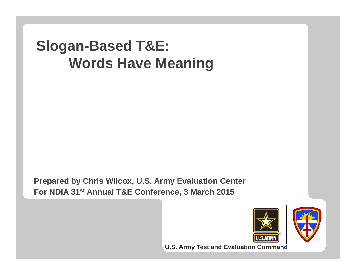### **Slogan-Based T&E: Words Have Meaning**

**Prepared by Chris Wilcox, U.S. Army Evaluation Center** For NDIA 31<sup>st</sup> Annual T&E Conference, 3 March 2015



**U.S. Army Test and Evaluation Command**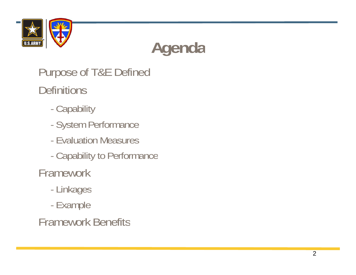

## **Agenda**

Purpose of T&E Defined **Definitions** 

- -**Capability**
- -System Performance
- Evaluation Measures
- -Capability to Performance

**Framework** 

- -Linkages
- -Example

#### Framework Benefitsthe contract of the contract of the contract of the contract of the contract of the contract of the contract of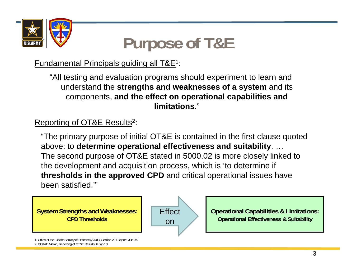

### **Purpose of T&E**

Fundamental Principals guiding all T&E1:

"All testing and evaluation programs should experiment to learn and  $\bf{u}$  nderstand the  $\bf{strengths}$  and  $\bf{weaknesses}$  of a  $\bf{system}$  and its components, **and the effect on operational capabilities and limitations**."

### Reporting of OT&E Results<sup>2</sup>:

"The primary purpose of initial OT&E is contained in the first clause quoted above: to **determine operational effectiveness and suitability**. … The second purpose of OT&E stated in 5000.02 is more closely linked to the development and acquisition process, which is 'to determine if **thresholds in the approved CPD** and critical operational issues have been satisfied.'"

**System Strengths and Weaknesses: CPD Thresholds**



**Operational Capabilities & Limitations: Operational Effectiveness & Suitability**

1. Office of the Under Sectary of Defense (AT&L), Section 231 Report, Jun 07. 2. DOT&E Memo, Reporting of OT&E Results, 6 Jan 10.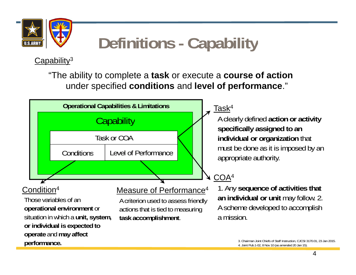

### **Definitions - Cap y ability**

Capability<sup>3</sup>

"The ability to complete a **task** or execute a **course of action**  under specified **conditions** and **level of performance** ."

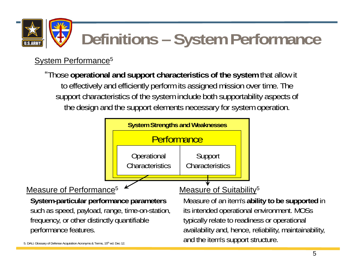

# **Definitions – System Performance**

### System Performance<sup>5</sup>

"Those **operational and support characteristics of the system** that allow it to effectively and efficiently perform its assigned mission over time. The support characteristics of the system include both supportability aspects of the design and the support elements necessary for system operation.

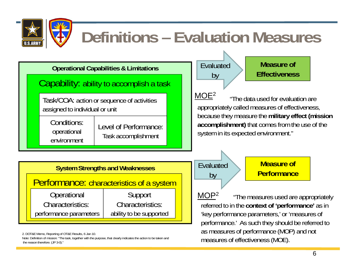

### **Definitions – Evaluation Measures**

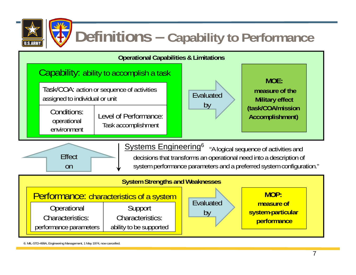

### **Definitions – Capability to Performance**



6. MIL-STD-499A, Engineering Management, 1 May 1974, now cancelled.

performance parameters  $\parallel$  ability to be supported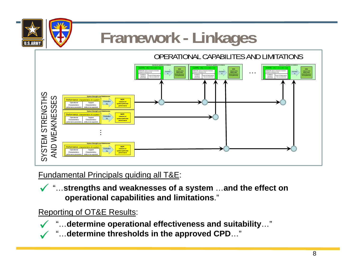

 $\checkmark$ 

 $\checkmark$ 

## **Framework - Linkages**

OPERATIONAL CAPABILITES AND LIMITATIONS



Fundamental Principals guiding all T&E:

 $\checkmark$  " …**strengths and weaknesses of <sup>a</sup> system** …**and the effect on operational capabilities and limitations**."

Reporting of OT&E Results:

- " **determine operational effectiveness and suitability** "… …
- "…**determine thresholds in the approved CPD**…"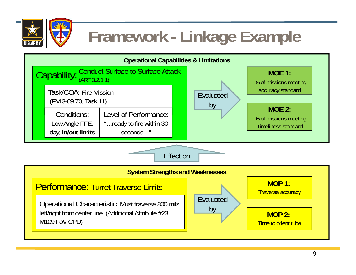

### **Framework - Linkage Example**

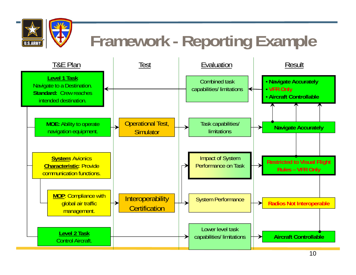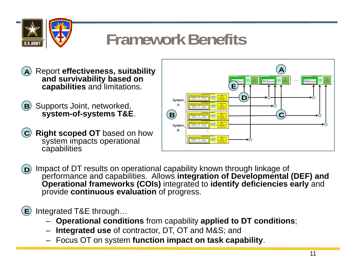

### **Framework Benefits**

- Report **effectiveness, suitability and survivability based on capabilities** and limitations.  $\qquad \qquad \qquad \qquad \qquad \qquad \qquad \qquad \qquad \qquad \qquad \qquad$ **A**
- Supports Joint, networked, **system-of-systems T&E**. **<sup>B</sup>**
- **Right scoped OT** based on how **C** system impacts operational capabilities



D)Impact of DT results on operational capability known through linkage of performance and capabilities. Allows **integration of Developmental (DEF) and Operational frameworks (COIs)** integrated to **identify deficiencies early** and provide **continuous evaluation** of progress.

Integrated T&E through… **E**

- $-$  Operational conditions from capability applied to DT conditions;
- **Integrated use** of contractor, DT, OT and M&S; and
- Focus OT on system **function impact on task capability**.